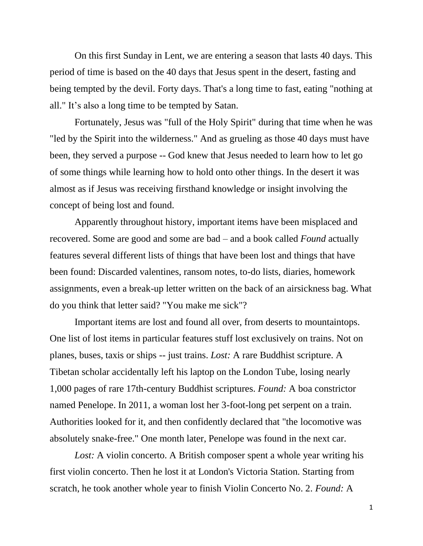On this first Sunday in Lent, we are entering a season that lasts 40 days. This period of time is based on the 40 days that Jesus spent in the desert, fasting and being tempted by the devil. Forty days. That's a long time to fast, eating "nothing at all." It's also a long time to be tempted by Satan.

Fortunately, Jesus was "full of the Holy Spirit" during that time when he was "led by the Spirit into the wilderness." And as grueling as those 40 days must have been, they served a purpose -- God knew that Jesus needed to learn how to let go of some things while learning how to hold onto other things. In the desert it was almost as if Jesus was receiving firsthand knowledge or insight involving the concept of being lost and found.

Apparently throughout history, important items have been misplaced and recovered. Some are good and some are bad – and a book called *Found* actually features several different lists of things that have been lost and things that have been found: Discarded valentines, ransom notes, to-do lists, diaries, homework assignments, even a break-up letter written on the back of an airsickness bag. What do you think that letter said? "You make me sick"?

Important items are lost and found all over, from deserts to mountaintops. One list of lost items in particular features stuff lost exclusively on trains. Not on planes, buses, taxis or ships -- just trains. *Lost:* A rare Buddhist scripture. A Tibetan scholar accidentally left his laptop on the London Tube, losing nearly 1,000 pages of rare 17th-century Buddhist scriptures. *Found:* A boa constrictor named Penelope. In 2011, a woman lost her 3-foot-long pet serpent on a train. Authorities looked for it, and then confidently declared that "the locomotive was absolutely snake-free." One month later, Penelope was found in the next car.

*Lost:* A violin concerto. A British composer spent a whole year writing his first violin concerto. Then he lost it at London's Victoria Station. Starting from scratch, he took another whole year to finish Violin Concerto No. 2. *Found:* A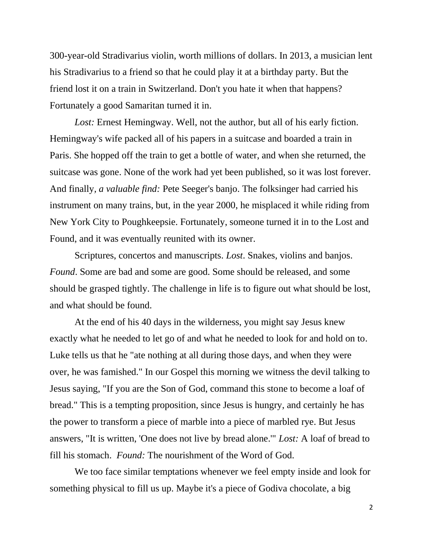300-year-old Stradivarius violin, worth millions of dollars. In 2013, a musician lent his Stradivarius to a friend so that he could play it at a birthday party. But the friend lost it on a train in Switzerland. Don't you hate it when that happens? Fortunately a good Samaritan turned it in.

*Lost:* Ernest Hemingway. Well, not the author, but all of his early fiction. Hemingway's wife packed all of his papers in a suitcase and boarded a train in Paris. She hopped off the train to get a bottle of water, and when she returned, the suitcase was gone. None of the work had yet been published, so it was lost forever. And finally*, a valuable find:* Pete Seeger's banjo. The folksinger had carried his instrument on many trains, but, in the year 2000, he misplaced it while riding from New York City to Poughkeepsie. Fortunately, someone turned it in to the Lost and Found, and it was eventually reunited with its owner.

Scriptures, concertos and manuscripts. *Lost*. Snakes, violins and banjos. *Found*. Some are bad and some are good. Some should be released, and some should be grasped tightly. The challenge in life is to figure out what should be lost, and what should be found.

At the end of his 40 days in the wilderness, you might say Jesus knew exactly what he needed to let go of and what he needed to look for and hold on to. Luke tells us that he "ate nothing at all during those days, and when they were over, he was famished." In our Gospel this morning we witness the devil talking to Jesus saying, "If you are the Son of God, command this stone to become a loaf of bread." This is a tempting proposition, since Jesus is hungry, and certainly he has the power to transform a piece of marble into a piece of marbled rye. But Jesus answers, "It is written, 'One does not live by bread alone.'" *Lost:* A loaf of bread to fill his stomach. *Found:* The nourishment of the Word of God.

We too face similar temptations whenever we feel empty inside and look for something physical to fill us up. Maybe it's a piece of Godiva chocolate, a big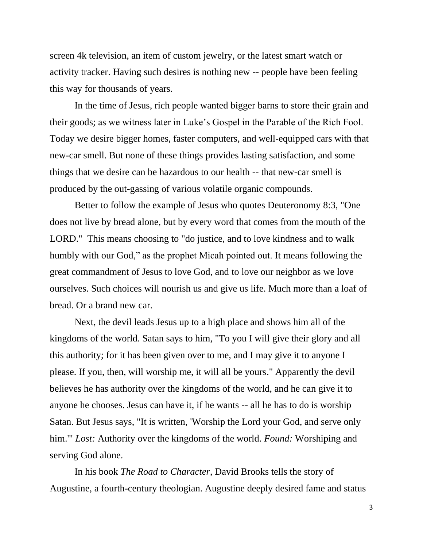screen 4k television, an item of custom jewelry, or the latest smart watch or activity tracker. Having such desires is nothing new -- people have been feeling this way for thousands of years.

In the time of Jesus, rich people wanted bigger barns to store their grain and their goods; as we witness later in Luke's Gospel in the Parable of the Rich Fool. Today we desire bigger homes, faster computers, and well-equipped cars with that new-car smell. But none of these things provides lasting satisfaction, and some things that we desire can be hazardous to our health -- that new-car smell is produced by the out-gassing of various volatile organic compounds.

Better to follow the example of Jesus who quotes Deuteronomy 8:3, "One does not live by bread alone, but by every word that comes from the mouth of the LORD." This means choosing to "do justice, and to love kindness and to walk humbly with our God," as the prophet Micah pointed out. It means following the great commandment of Jesus to love God, and to love our neighbor as we love ourselves. Such choices will nourish us and give us life. Much more than a loaf of bread. Or a brand new car.

Next, the devil leads Jesus up to a high place and shows him all of the kingdoms of the world. Satan says to him, "To you I will give their glory and all this authority; for it has been given over to me, and I may give it to anyone I please. If you, then, will worship me, it will all be yours." Apparently the devil believes he has authority over the kingdoms of the world, and he can give it to anyone he chooses. Jesus can have it, if he wants -- all he has to do is worship Satan. But Jesus says, "It is written, 'Worship the Lord your God, and serve only him.'" *Lost:* Authority over the kingdoms of the world. *Found:* Worshiping and serving God alone.

In his book *The Road to Character*, David Brooks tells the story of Augustine, a fourth-century theologian. Augustine deeply desired fame and status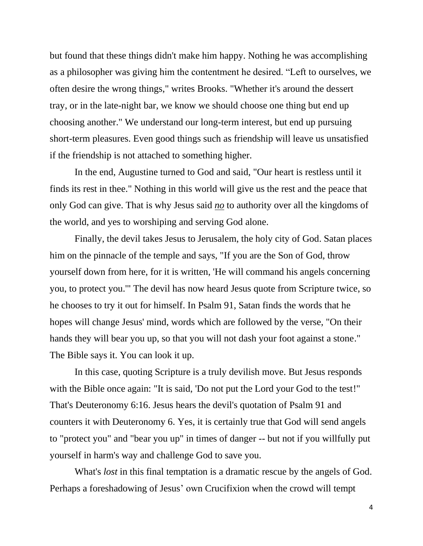but found that these things didn't make him happy. Nothing he was accomplishing as a philosopher was giving him the contentment he desired. "Left to ourselves, we often desire the wrong things," writes Brooks. "Whether it's around the dessert tray, or in the late-night bar, we know we should choose one thing but end up choosing another." We understand our long-term interest, but end up pursuing short-term pleasures. Even good things such as friendship will leave us unsatisfied if the friendship is not attached to something higher.

In the end, Augustine turned to God and said, "Our heart is restless until it finds its rest in thee." Nothing in this world will give us the rest and the peace that only God can give. That is why Jesus said *no* to authority over all the kingdoms of the world, and yes to worshiping and serving God alone.

Finally, the devil takes Jesus to Jerusalem, the holy city of God. Satan places him on the pinnacle of the temple and says, "If you are the Son of God, throw yourself down from here, for it is written, 'He will command his angels concerning you, to protect you.'" The devil has now heard Jesus quote from Scripture twice, so he chooses to try it out for himself. In Psalm 91, Satan finds the words that he hopes will change Jesus' mind, words which are followed by the verse, "On their hands they will bear you up, so that you will not dash your foot against a stone." The Bible says it. You can look it up.

In this case, quoting Scripture is a truly devilish move. But Jesus responds with the Bible once again: "It is said, 'Do not put the Lord your God to the test!" That's Deuteronomy 6:16. Jesus hears the devil's quotation of Psalm 91 and counters it with Deuteronomy 6. Yes, it is certainly true that God will send angels to "protect you" and "bear you up" in times of danger -- but not if you willfully put yourself in harm's way and challenge God to save you.

What's *lost* in this final temptation is a dramatic rescue by the angels of God. Perhaps a foreshadowing of Jesus' own Crucifixion when the crowd will tempt